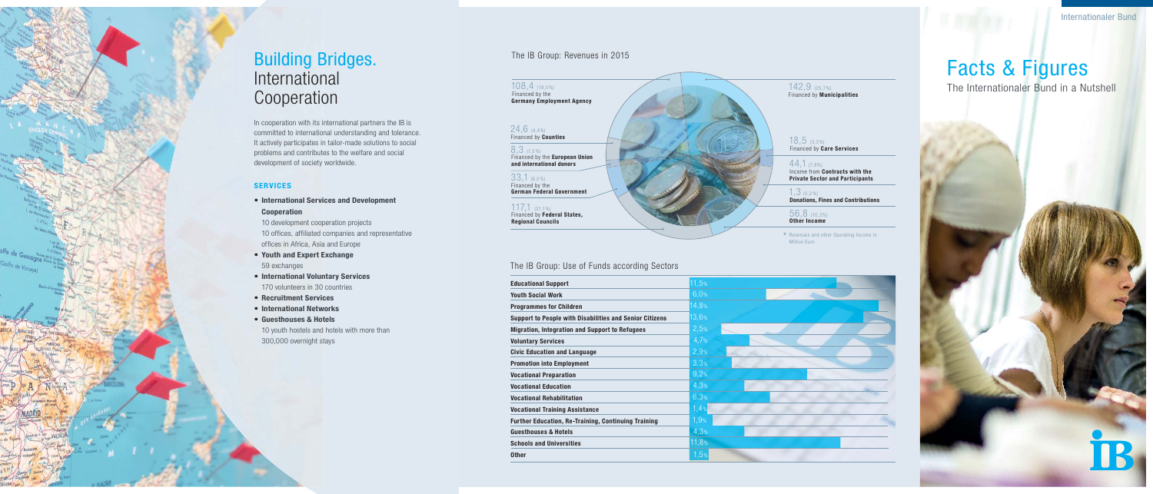### The IB Group: Use of Funds according Sectors

### The IB Group: Revenues in 2015

\* Revenues and other Operating Income in Million Euro



142,9 (25,7%) Financed by **Municipalities**

| <b>Educational Support</b>                                     | 11,5% |
|----------------------------------------------------------------|-------|
| <b>Youth Social Work</b>                                       | 6,0%  |
| <b>Programmes for Children</b>                                 | 14,8% |
| <b>Support to People with Disabilities and Senior Citizens</b> | 13,6% |
| <b>Migration, Integration and Support to Refugees</b>          | 2,5%  |
| <b>Voluntary Services</b>                                      | 4.7%  |
| <b>Civic Education and Language</b>                            | 2,9%  |
| <b>Promotion into Employment</b>                               | 3,3%  |
| <b>Vocational Preparation</b>                                  | 9,2%  |
| <b>Vocational Education</b>                                    | 4,3%  |
| <b>Vocational Rehabilitation</b>                               | 6,3%  |
| <b>Vocational Training Assistance</b>                          | 1,4%  |
| <b>Further Education, Re-Training, Continuing Training</b>     | 1,9%  |
| <b>Guesthouses &amp; Hotels</b>                                | 4.3%  |
| <b>Schools and Universities</b>                                | 11,8% |
| <b>Other</b>                                                   | 1,5%  |
|                                                                |       |

18,5 (3,3%) Financed by **Care Services**

44,1 (7,9 %) Income from **Contracts with the Private Sector and Participants**

In cooperation with its international partners the IB is committed to international understanding and tolerance. It actively participates in tailor-made solutions to social problems and contributes to the welfare and social development of society worldwide.

> 1,3 (0,2%) **Donations, Fines and Contributions**

 56,8 (10,2%) **Other Income**

### 108,4 (19,5 %) Financed by the **Germany Employment Agency**

### 24,6 (4,4%) Financed by **Counties**

8,3 (1,5 %) Financed by the **European Union and international donors**

33,1 (6,0%) Financed by the **German Federal Government**

117,1 (21,1%) Financed by **Federal States, Regional Councils**

## Building Bridges. International Cooperation

### **SERVICES**

- **International Services and Development Cooperation** 10 development cooperation projects 10 offices, affiliated companies and representative offices in Africa, Asia and Europe
- **Youth and Expert Exchange** 59 exchanges
- **International Voluntary Services** 170 volunteers in 30 countries
- **Recruitment Services**
- **International Networks**
- **Guesthouses & Hotels** 10 youth hostels and hotels with more than 300,000 overnight stays

# Facts & Figures

The Internationaler Bund in a Nutshell